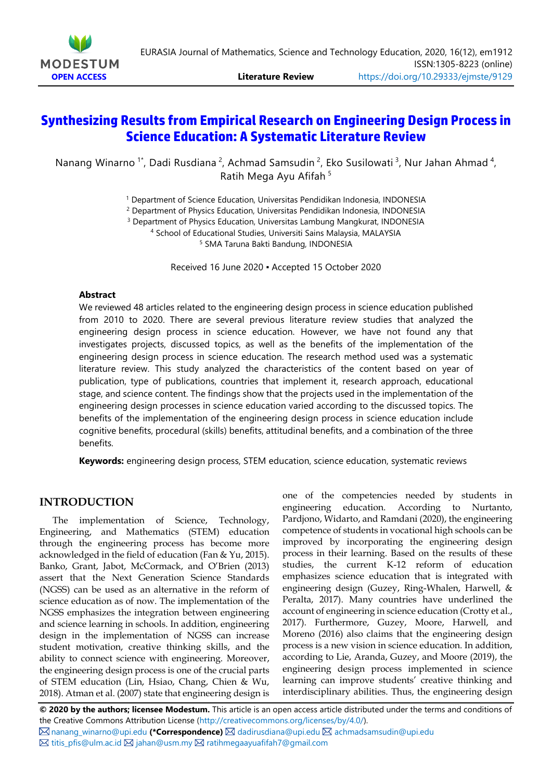

# **Synthesizing Results from Empirical Research on Engineering Design Process in Science Education: A Systematic Literature Review**

Nanang Winarno<sup>1\*</sup>, Dadi Rusdiana<sup>2</sup>, Achmad Samsudin<sup>2</sup>, Eko Susilowati<sup>3</sup>, Nur Jahan Ahmad<sup>4</sup>, Ratih Mega Ayu Afifah <sup>5</sup>

<sup>1</sup> Department of Science Education, Universitas Pendidikan Indonesia, INDONESIA

<sup>2</sup> Department of Physics Education, Universitas Pendidikan Indonesia, INDONESIA

<sup>3</sup> Department of Physics Education, Universitas Lambung Mangkurat, INDONESIA

<sup>4</sup> School of Educational Studies, Universiti Sains Malaysia, MALAYSIA

<sup>5</sup> SMA Taruna Bakti Bandung, INDONESIA

Received 16 June 2020 ▪ Accepted 15 October 2020

#### **Abstract**

We reviewed 48 articles related to the engineering design process in science education published from 2010 to 2020. There are several previous literature review studies that analyzed the engineering design process in science education. However, we have not found any that investigates projects, discussed topics, as well as the benefits of the implementation of the engineering design process in science education. The research method used was a systematic literature review. This study analyzed the characteristics of the content based on year of publication, type of publications, countries that implement it, research approach, educational stage, and science content. The findings show that the projects used in the implementation of the engineering design processes in science education varied according to the discussed topics. The benefits of the implementation of the engineering design process in science education include cognitive benefits, procedural (skills) benefits, attitudinal benefits, and a combination of the three benefits.

**Keywords:** engineering design process, STEM education, science education, systematic reviews

# **INTRODUCTION**

The implementation of Science, Technology, Engineering, and Mathematics (STEM) education through the engineering process has become more acknowledged in the field of education (Fan & Yu, 2015). Banko, Grant, Jabot, McCormack, and O'Brien (2013) assert that the Next Generation Science Standards (NGSS) can be used as an alternative in the reform of science education as of now. The implementation of the NGSS emphasizes the integration between engineering and science learning in schools. In addition, engineering design in the implementation of NGSS can increase student motivation, creative thinking skills, and the ability to connect science with engineering. Moreover, the engineering design process is one of the crucial parts of STEM education (Lin, Hsiao, Chang, Chien & Wu, 2018). Atman et al. (2007) state that engineering design is

one of the competencies needed by students in engineering education. According to Nurtanto, Pardjono, Widarto, and Ramdani (2020), the engineering competence of students in vocational high schools can be improved by incorporating the engineering design process in their learning. Based on the results of these studies, the current K-12 reform of education emphasizes science education that is integrated with engineering design (Guzey, Ring-Whalen, Harwell, & Peralta, 2017). Many countries have underlined the account of engineering in science education (Crotty et al., 2017). Furthermore, Guzey, Moore, Harwell, and Moreno (2016) also claims that the engineering design process is a new vision in science education. In addition, according to Lie, Aranda, Guzey, and Moore (2019), the engineering design process implemented in science learning can improve students' creative thinking and interdisciplinary abilities. Thus, the engineering design

**© 2020 by the authors; licensee Modestum.** This article is an open access article distributed under the terms and conditions of the Creative Commons Attribution License [\(http://creativecommons.org/licenses/by/4.0/\)](http://creativecommons.org/licenses/by/4.0/).

 $\boxtimes$  [nanang\\_winarno@upi.edu](mailto:nanang_winarno@upi.edu) (\*Correspondence)  $\boxtimes$  [dadirusdiana@upi.edu](mailto:dadirusdiana@upi.edu)  $\boxtimes$  [achmadsamsudin@upi.edu](mailto:achmadsamsudin@upi.edu)  $\boxtimes$  [titis\\_pfis@ulm.ac.id](mailto:titis_pfis@ulm.ac.id)  $\boxtimes$  [jahan@usm.my](mailto:jahan@usm.my)  $\boxtimes$  [ratihmegaayuafifah7@gmail.com](mailto:ratihmegaayuafifah7@gmail.com)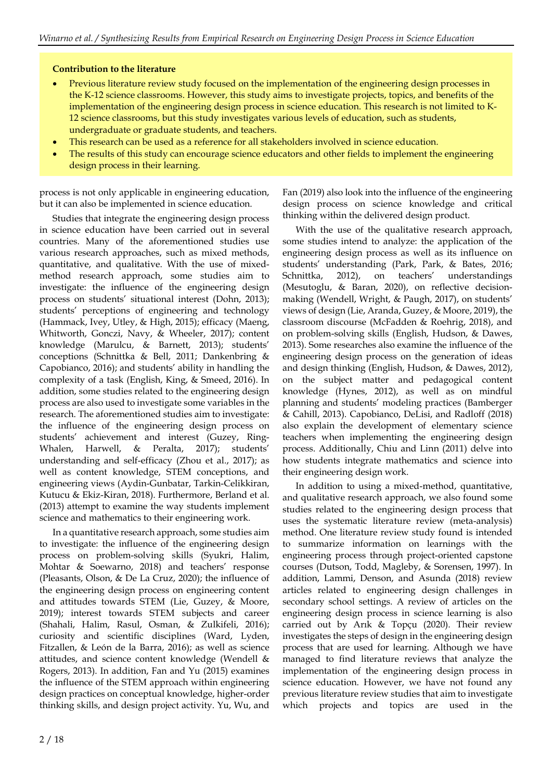#### **Contribution to the literature**

- Previous literature review study focused on the implementation of the engineering design processes in the K-12 science classrooms. However, this study aims to investigate projects, topics, and benefits of the implementation of the engineering design process in science education. This research is not limited to K-12 science classrooms, but this study investigates various levels of education, such as students, undergraduate or graduate students, and teachers.
- This research can be used as a reference for all stakeholders involved in science education.
- The results of this study can encourage science educators and other fields to implement the engineering design process in their learning.

process is not only applicable in engineering education, but it can also be implemented in science education.

Studies that integrate the engineering design process in science education have been carried out in several countries. Many of the aforementioned studies use various research approaches, such as mixed methods, quantitative, and qualitative. With the use of mixedmethod research approach, some studies aim to investigate: the influence of the engineering design process on students' situational interest (Dohn, 2013); students' perceptions of engineering and technology (Hammack, Ivey, Utley, & High, 2015); efficacy (Maeng, Whitworth, Gonczi, Navy, & Wheeler, 2017); content knowledge (Marulcu, & Barnett, 2013); students' conceptions (Schnittka & Bell, 2011; Dankenbring & Capobianco, 2016); and students' ability in handling the complexity of a task (English, King, & Smeed, 2016). In addition, some studies related to the engineering design process are also used to investigate some variables in the research. The aforementioned studies aim to investigate: the influence of the engineering design process on students' achievement and interest (Guzey, Ring-Whalen, Harwell, & Peralta, 2017); students' understanding and self-efficacy (Zhou et al., 2017); as well as content knowledge, STEM conceptions, and engineering views (Aydin-Gunbatar, Tarkin-Celikkiran, Kutucu & Ekiz-Kiran, 2018). Furthermore, Berland et al. (2013) attempt to examine the way students implement science and mathematics to their engineering work.

In a quantitative research approach, some studies aim to investigate: the influence of the engineering design process on problem-solving skills (Syukri, Halim, Mohtar & Soewarno, 2018) and teachers' response (Pleasants, Olson, & De La Cruz, 2020); the influence of the engineering design process on engineering content and attitudes towards STEM (Lie, Guzey, & Moore, 2019); interest towards STEM subjects and career (Shahali, Halim, Rasul, Osman, & Zulkifeli, 2016); curiosity and scientific disciplines (Ward, Lyden, Fitzallen, & León de la Barra, 2016); as well as science attitudes, and science content knowledge (Wendell & Rogers, 2013). In addition, Fan and Yu (2015) examines the influence of the STEM approach within engineering design practices on conceptual knowledge, higher-order thinking skills, and design project activity. Yu, Wu, and

Fan (2019) also look into the influence of the engineering design process on science knowledge and critical thinking within the delivered design product.

With the use of the qualitative research approach, some studies intend to analyze: the application of the engineering design process as well as its influence on students' understanding (Park, Park, & Bates, 2016; Schnittka, 2012), on teachers' understandings (Mesutoglu, & Baran, 2020), on reflective decisionmaking (Wendell, Wright, & Paugh, 2017), on students' views of design (Lie, Aranda, Guzey, & Moore, 2019), the classroom discourse (McFadden & Roehrig, 2018), and on problem-solving skills (English, Hudson, & Dawes, 2013). Some researches also examine the influence of the engineering design process on the generation of ideas and design thinking (English, Hudson, & Dawes, 2012), on the subject matter and pedagogical content knowledge (Hynes, 2012), as well as on mindful planning and students' modeling practices (Bamberger & Cahill, 2013). Capobianco, DeLisi, and Radloff (2018) also explain the development of elementary science teachers when implementing the engineering design process. Additionally, Chiu and Linn (2011) delve into how students integrate mathematics and science into their engineering design work.

In addition to using a mixed-method, quantitative, and qualitative research approach, we also found some studies related to the engineering design process that uses the systematic literature review (meta-analysis) method. One literature review study found is intended to summarize information on learnings with the engineering process through project-oriented capstone courses (Dutson, Todd, Magleby, & Sorensen, 1997). In addition, Lammi, Denson, and Asunda (2018) review articles related to engineering design challenges in secondary school settings. A review of articles on the engineering design process in science learning is also carried out by Arık & Topçu (2020). Their review investigates the steps of design in the engineering design process that are used for learning. Although we have managed to find literature reviews that analyze the implementation of the engineering design process in science education. However, we have not found any previous literature review studies that aim to investigate which projects and topics are used in the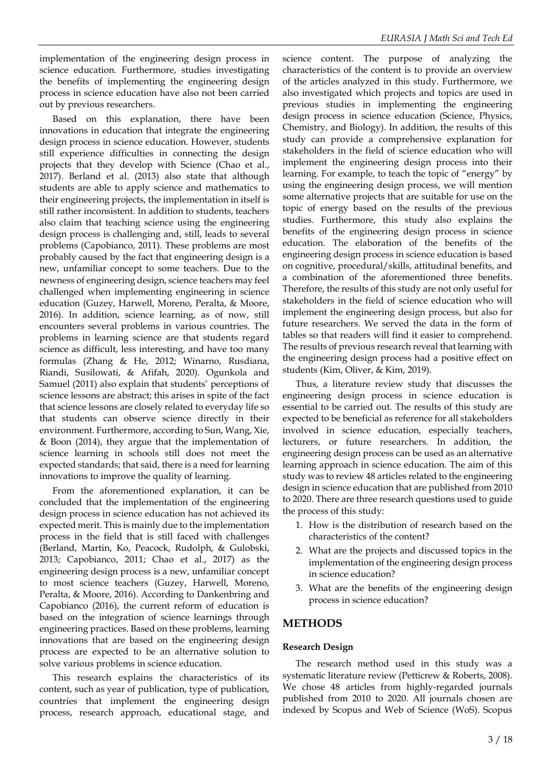implementation of the engineering design process in science education. Furthermore, studies investigating the benefits of implementing the engineering design process in science education have also not been carried out by previous researchers.

Based on this explanation, there have been innovations in education that integrate the engineering design process in science education. However, students still experience difficulties in connecting the design projects that they develop with Science (Chao et al., 2017). Berland et al. (2013) also state that although students are able to apply science and mathematics to their engineering projects, the implementation in itself is still rather inconsistent. In addition to students, teachers also claim that teaching science using the engineering design process is challenging and, still, leads to several problems (Capobianco, 2011). These problems are most probably caused by the fact that engineering design is a new, unfamiliar concept to some teachers. Due to the newness of engineering design, science teachers may feel challenged when implementing engineering in science education (Guzey, Harwell, Moreno, Peralta, & Moore, 2016). In addition, science learning, as of now, still encounters several problems in various countries. The problems in learning science are that students regard science as difficult, less interesting, and have too many formulas (Zhang & He, 2012; Winarno, Rusdiana, Riandi, Susilowati, & Afifah, 2020). Ogunkola and Samuel (2011) also explain that students' perceptions of science lessons are abstract; this arises in spite of the fact that science lessons are closely related to everyday life so that students can observe science directly in their environment. Furthermore, according to Sun, Wang, Xie, & Boon (2014), they argue that the implementation of science learning in schools still does not meet the expected standards; that said, there is a need for learning innovations to improve the quality of learning.

From the aforementioned explanation, it can be concluded that the implementation of the engineering design process in science education has not achieved its expected merit. This is mainly due to the implementation process in the field that is still faced with challenges (Berland, Martin, Ko, Peacock, Rudolph, & Gulobski, 2013; Capobianco, 2011; Chao et al., 2017) as the engineering design process is a new, unfamiliar concept to most science teachers (Guzey, Harwell, Moreno, Peralta, & Moore, 2016). According to Dankenbring and Capobianco (2016), the current reform of education is based on the integration of science learnings through engineering practices. Based on these problems, learning innovations that are based on the engineering design process are expected to be an alternative solution to solve various problems in science education.

This research explains the characteristics of its content, such as year of publication, type of publication, countries that implement the engineering design process, research approach, educational stage, and

science content. The purpose of analyzing the characteristics of the content is to provide an overview of the articles analyzed in this study. Furthermore, we also investigated which projects and topics are used in previous studies in implementing the engineering design process in science education (Science, Physics, Chemistry, and Biology). In addition, the results of this study can provide a comprehensive explanation for stakeholders in the field of science education who will implement the engineering design process into their learning. For example, to teach the topic of "energy" by using the engineering design process, we will mention some alternative projects that are suitable for use on the topic of energy based on the results of the previous studies. Furthermore, this study also explains the benefits of the engineering design process in science education. The elaboration of the benefits of the engineering design process in science education is based on cognitive, procedural/skills, attitudinal benefits, and a combination of the aforementioned three benefits. Therefore, the results of this study are not only useful for stakeholders in the field of science education who will implement the engineering design process, but also for future researchers. We served the data in the form of tables so that readers will find it easier to comprehend. The results of previous research reveal that learning with the engineering design process had a positive effect on students (Kim, Oliver, & Kim, 2019).

Thus, a literature review study that discusses the engineering design process in science education is essential to be carried out. The results of this study are expected to be beneficial as reference for all stakeholders involved in science education, especially teachers, lecturers, or future researchers. In addition, the engineering design process can be used as an alternative learning approach in science education. The aim of this study was to review 48 articles related to the engineering design in science education that are published from 2010 to 2020. There are three research questions used to guide the process of this study:

- 1. How is the distribution of research based on the characteristics of the content?
- 2. What are the projects and discussed topics in the implementation of the engineering design process in science education?
- 3. What are the benefits of the engineering design process in science education?

# **METHODS**

### **Research Design**

The research method used in this study was a systematic literature review (Petticrew & Roberts, 2008). We chose 48 articles from highly-regarded journals published from 2010 to 2020. All journals chosen are indexed by Scopus and Web of Science (WoS). Scopus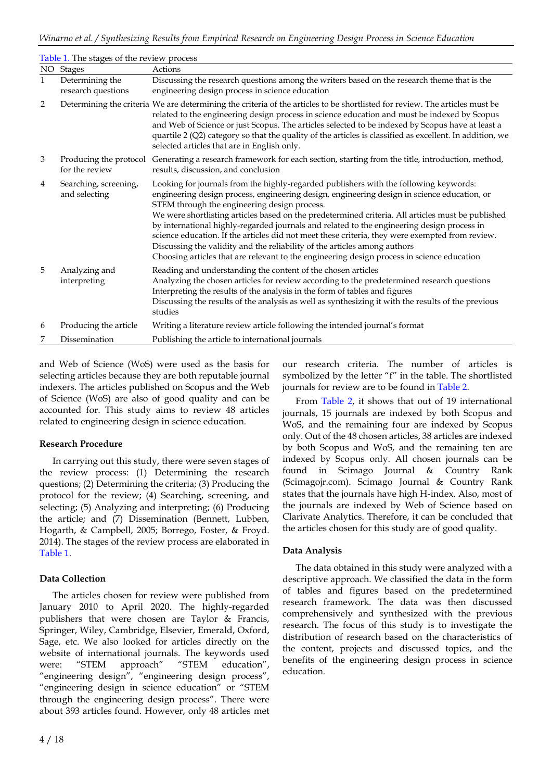|              | Table 1. The stages of the review process |                                                                                                                                                                                                                                                                                                                                                                                                                                                                                                                                                                                                                                                                                                                       |  |  |  |  |
|--------------|-------------------------------------------|-----------------------------------------------------------------------------------------------------------------------------------------------------------------------------------------------------------------------------------------------------------------------------------------------------------------------------------------------------------------------------------------------------------------------------------------------------------------------------------------------------------------------------------------------------------------------------------------------------------------------------------------------------------------------------------------------------------------------|--|--|--|--|
|              | NO Stages                                 | Actions                                                                                                                                                                                                                                                                                                                                                                                                                                                                                                                                                                                                                                                                                                               |  |  |  |  |
| $\mathbf{1}$ | Determining the<br>research questions     | Discussing the research questions among the writers based on the research theme that is the<br>engineering design process in science education                                                                                                                                                                                                                                                                                                                                                                                                                                                                                                                                                                        |  |  |  |  |
| 2            |                                           | Determining the criteria We are determining the criteria of the articles to be shortlisted for review. The articles must be<br>related to the engineering design process in science education and must be indexed by Scopus<br>and Web of Science or just Scopus. The articles selected to be indexed by Scopus have at least a<br>quartile 2 (Q2) category so that the quality of the articles is classified as excellent. In addition, we<br>selected articles that are in English only.                                                                                                                                                                                                                            |  |  |  |  |
| 3            | for the review                            | Producing the protocol Generating a research framework for each section, starting from the title, introduction, method,<br>results, discussion, and conclusion                                                                                                                                                                                                                                                                                                                                                                                                                                                                                                                                                        |  |  |  |  |
| 4            | Searching, screening,<br>and selecting    | Looking for journals from the highly-regarded publishers with the following keywords:<br>engineering design process, engineering design, engineering design in science education, or<br>STEM through the engineering design process.<br>We were shortlisting articles based on the predetermined criteria. All articles must be published<br>by international highly-regarded journals and related to the engineering design process in<br>science education. If the articles did not meet these criteria, they were exempted from review.<br>Discussing the validity and the reliability of the articles among authors<br>Choosing articles that are relevant to the engineering design process in science education |  |  |  |  |
| 5            | Analyzing and<br>interpreting             | Reading and understanding the content of the chosen articles<br>Analyzing the chosen articles for review according to the predetermined research questions<br>Interpreting the results of the analysis in the form of tables and figures<br>Discussing the results of the analysis as well as synthesizing it with the results of the previous<br>studies                                                                                                                                                                                                                                                                                                                                                             |  |  |  |  |
| 6            | Producing the article                     | Writing a literature review article following the intended journal's format                                                                                                                                                                                                                                                                                                                                                                                                                                                                                                                                                                                                                                           |  |  |  |  |
| 7            | Dissemination                             | Publishing the article to international journals                                                                                                                                                                                                                                                                                                                                                                                                                                                                                                                                                                                                                                                                      |  |  |  |  |

and Web of Science (WoS) were used as the basis for selecting articles because they are both reputable journal indexers. The articles published on Scopus and the Web of Science (WoS) are also of good quality and can be accounted for. This study aims to review 48 articles related to engineering design in science education.

### **Research Procedure**

In carrying out this study, there were seven stages of the review process: (1) Determining the research questions; (2) Determining the criteria; (3) Producing the protocol for the review; (4) Searching, screening, and selecting; (5) Analyzing and interpreting; (6) Producing the article; and (7) Dissemination (Bennett, Lubben, Hogarth, & Campbell, 2005; Borrego, Foster, & Froyd. 2014). The stages of the review process are elaborated in Table 1.

### **Data Collection**

The articles chosen for review were published from January 2010 to April 2020. The highly-regarded publishers that were chosen are Taylor & Francis, Springer, Wiley, Cambridge, Elsevier, Emerald, Oxford, Sage, etc. We also looked for articles directly on the website of international journals. The keywords used were: "STEM approach" "STEM education", "engineering design", "engineering design process", "engineering design in science education" or "STEM through the engineering design process". There were about 393 articles found. However, only 48 articles met

our research criteria. The number of articles is symbolized by the letter "f" in the table. The shortlisted journals for review are to be found in Table 2.

From Table 2, it shows that out of 19 international journals, 15 journals are indexed by both Scopus and WoS, and the remaining four are indexed by Scopus only. Out of the 48 chosen articles, 38 articles are indexed by both Scopus and WoS, and the remaining ten are indexed by Scopus only. All chosen journals can be found in Scimago Journal & Country Rank (Scimagojr.com). Scimago Journal & Country Rank states that the journals have high H-index. Also, most of the journals are indexed by Web of Science based on Clarivate Analytics. Therefore, it can be concluded that the articles chosen for this study are of good quality.

### **Data Analysis**

The data obtained in this study were analyzed with a descriptive approach. We classified the data in the form of tables and figures based on the predetermined research framework. The data was then discussed comprehensively and synthesized with the previous research. The focus of this study is to investigate the distribution of research based on the characteristics of the content, projects and discussed topics, and the benefits of the engineering design process in science education.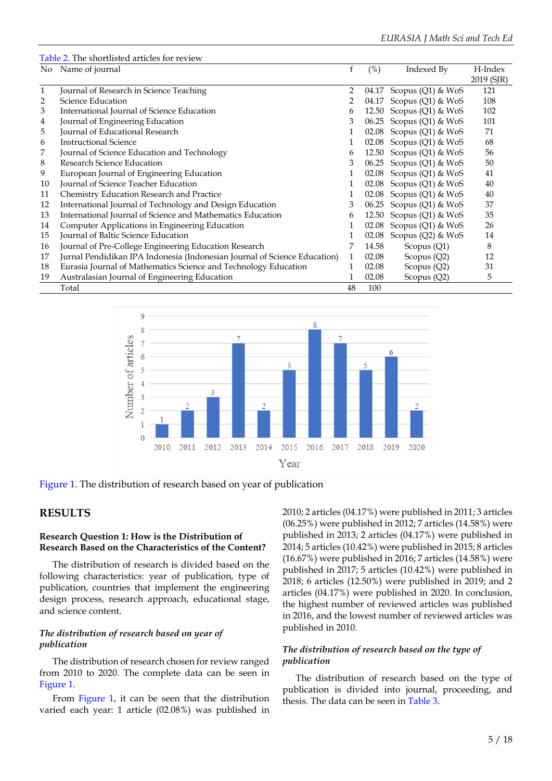|              | Table 2. The shortlisted articles for review                              |    |       |                           |            |
|--------------|---------------------------------------------------------------------------|----|-------|---------------------------|------------|
|              | No Name of journal                                                        |    | (%)   | Indexed By                | H-Index    |
|              |                                                                           |    |       |                           | 2019 (SJR) |
| $\mathbf{1}$ | Journal of Research in Science Teaching                                   | 2  | 04.17 | Scopus (Q1) & WoS         | 121        |
| 2            | Science Education                                                         | 2  | 04.17 | Scopus (Q1) & WoS         | 108        |
| 3            | International Journal of Science Education                                | 6  |       | 12.50 Scopus (Q1) & WoS   | 102        |
| 4            | Journal of Engineering Education                                          | 3  |       | 06.25 Scopus (Q1) & WoS   | 101        |
| 5            | Journal of Educational Research                                           | 1  |       | 02.08 Scopus (Q1) & WoS   | 71         |
| 6            | <b>Instructional Science</b>                                              | 1  |       | 02.08 Scopus (Q1) & WoS   | 68         |
| 7            | Journal of Science Education and Technology                               | 6  |       | 12.50 Scopus (Q1) & WoS   | 56         |
| 8            | <b>Research Science Education</b>                                         | 3  |       | 06.25 Scopus (Q1) & WoS   | 50         |
| 9            | European Journal of Engineering Education                                 |    |       | 02.08 Scopus (Q1) & WoS   | 41         |
| 10           | Journal of Science Teacher Education                                      |    |       | 02.08 Scopus (Q1) & WoS   | 40         |
| 11           | Chemistry Education Research and Practice                                 | 1  |       | 02.08 Scopus (Q1) & WoS   | 40         |
| 12           | International Journal of Technology and Design Education                  | 3  |       | 06.25 Scopus $(Q1)$ & WoS | 37         |
| 13           | International Journal of Science and Mathematics Education                | 6  |       | 12.50 Scopus (Q1) & WoS   | 35         |
| 14           | Computer Applications in Engineering Education                            | 1  | 02.08 | Scopus (Q1) & WoS         | 26         |
| 15           | Journal of Baltic Science Education                                       | 1  | 02.08 | Scopus (Q2) & WoS         | 14         |
| 16           | Journal of Pre-College Engineering Education Research                     | 7  | 14.58 | Scopus (Q1)               | 8          |
| 17           | Jurnal Pendidikan IPA Indonesia (Indonesian Journal of Science Education) | 1  | 02.08 | Scopus (Q2)               | 12         |
| 18           | Eurasia Journal of Mathematics Science and Technology Education           |    | 02.08 | Scopus $(Q2)$             | 31         |
| 19           | Australasian Journal of Engineering Education                             | 1  | 02.08 | Scopus $(Q2)$             | 5          |
|              | Total                                                                     | 48 | 100   |                           |            |



Figure 1. The distribution of research based on year of publication

## **RESULTS**

#### **Research Question 1: How is the Distribution of Research Based on the Characteristics of the Content?**

The distribution of research is divided based on the following characteristics: year of publication, type of publication, countries that implement the engineering design process, research approach, educational stage, and science content.

#### *The distribution of research based on year of publication*

The distribution of research chosen for review ranged from 2010 to 2020. The complete data can be seen in Figure 1.

From Figure 1, it can be seen that the distribution varied each year: 1 article (02.08%) was published in 2010; 2 articles (04.17%) were published in 2011; 3 articles (06.25%) were published in 2012; 7 articles (14.58%) were published in 2013; 2 articles (04.17%) were published in 2014; 5 articles (10.42%) were published in 2015; 8 articles (16.67%) were published in 2016; 7 articles (14.58%) were published in 2017; 5 articles (10.42%) were published in 2018; 6 articles (12.50%) were published in 2019; and 2 articles (04.17%) were published in 2020. In conclusion, the highest number of reviewed articles was published in 2016, and the lowest number of reviewed articles was published in 2010.

### *The distribution of research based on the type of publication*

The distribution of research based on the type of publication is divided into journal, proceeding, and thesis. The data can be seen in Table 3.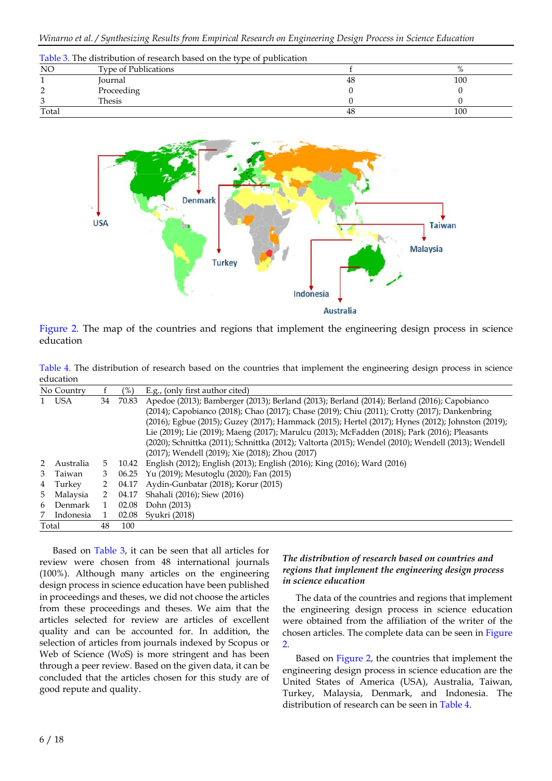|           | Table 3. The distribution of research based on the type of publication |    |     |  |  |  |  |
|-----------|------------------------------------------------------------------------|----|-----|--|--|--|--|
| <b>NO</b> | <b>Type of Publications</b>                                            |    |     |  |  |  |  |
|           | Journal                                                                | 48 | 100 |  |  |  |  |
|           | Proceeding                                                             |    |     |  |  |  |  |
|           | Thesis                                                                 |    |     |  |  |  |  |
| Total     |                                                                        | 48 | 100 |  |  |  |  |



Figure 2. The map of the countries and regions that implement the engineering design process in science education

Table 4. The distribution of research based on the countries that implement the engineering design process in science education

|                                                 | No Country |                                                                                                     | $(\%)$                                                                                        | E.g., (only first author cited)                                                                   |
|-------------------------------------------------|------------|-----------------------------------------------------------------------------------------------------|-----------------------------------------------------------------------------------------------|---------------------------------------------------------------------------------------------------|
|                                                 | 1 USA      | 34                                                                                                  | 70.83                                                                                         | Apedoe (2013); Bamberger (2013); Berland (2013); Berland (2014); Berland (2016); Capobianco       |
|                                                 |            |                                                                                                     |                                                                                               | (2014); Capobianco (2018); Chao (2017); Chase (2019); Chiu (2011); Crotty (2017); Dankenbring     |
|                                                 |            |                                                                                                     |                                                                                               | (2016); Egbue (2015); Guzey (2017); Hammack (2015); Hertel (2017); Hynes (2012); Johnston (2019); |
|                                                 |            |                                                                                                     | Lie (2019); Lie (2019); Maeng (2017); Marulcu (2013); McFadden (2018); Park (2016); Pleasants |                                                                                                   |
|                                                 |            | (2020); Schnittka (2011); Schnittka (2012); Valtorta (2015); Wendel (2010); Wendell (2013); Wendell |                                                                                               |                                                                                                   |
| (2017); Wendell (2019); Xie (2018); Zhou (2017) |            |                                                                                                     |                                                                                               |                                                                                                   |
| $\mathcal{P}$                                   | Australia  | 5.                                                                                                  | 10.42                                                                                         | English (2012); English (2013); English (2016); King (2016); Ward (2016)                          |
| 3                                               | Taiwan     | 3                                                                                                   | 06.25                                                                                         | Yu (2019); Mesutoglu (2020); Fan (2015)                                                           |
| 4                                               | Turkey     | 2                                                                                                   | 04.17                                                                                         | Aydin-Gunbatar (2018); Korur (2015)                                                               |
| 5.                                              | Malaysia   | $\mathcal{P}$                                                                                       | 04.17                                                                                         | Shahali (2016); Siew (2016)                                                                       |
| 6                                               | Denmark    |                                                                                                     | 02.08                                                                                         | Dohn (2013)                                                                                       |
| 7                                               | Indonesia  | 1                                                                                                   | 02.08                                                                                         | Syukri (2018)                                                                                     |
|                                                 | Total      | 48                                                                                                  | 100                                                                                           |                                                                                                   |

Based on Table 3, it can be seen that all articles for review were chosen from 48 international journals (100%). Although many articles on the engineering design process in science education have been published in proceedings and theses, we did not choose the articles from these proceedings and theses. We aim that the articles selected for review are articles of excellent quality and can be accounted for. In addition, the selection of articles from journals indexed by Scopus or Web of Science (WoS) is more stringent and has been through a peer review. Based on the given data, it can be concluded that the articles chosen for this study are of good repute and quality.

#### *The distribution of research based on countries and regions that implement the engineering design process in science education*

The data of the countries and regions that implement the engineering design process in science education were obtained from the affiliation of the writer of the chosen articles. The complete data can be seen in Figure 2.

Based on Figure 2, the countries that implement the engineering design process in science education are the United States of America (USA), Australia, Taiwan, Turkey, Malaysia, Denmark, and Indonesia. The distribution of research can be seen in Table 4.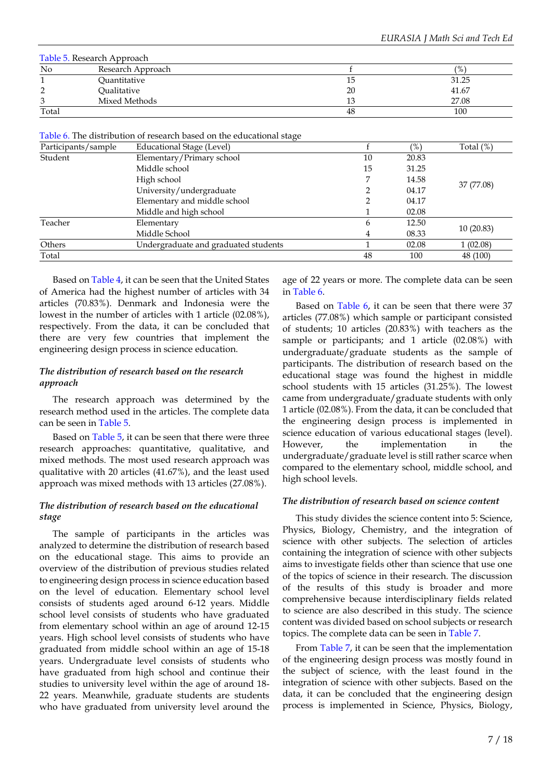| Table 5. Research Approach |                   |    |               |  |  |  |
|----------------------------|-------------------|----|---------------|--|--|--|
| No                         | Research Approach |    | $\frac{9}{6}$ |  |  |  |
|                            | Quantitative      | 10 | 31.25         |  |  |  |
| ◠                          | Oualitative       | 20 | 41.67         |  |  |  |
| 3                          | Mixed Methods     | 13 | 27.08         |  |  |  |
| Total                      |                   | 48 | 100           |  |  |  |

Table 6. The distribution of research based on the educational stage

| Participants/sample | ־ר־<br>Educational Stage (Level)     |    | $\frac{9}{6}$ | Total $(\%)$ |
|---------------------|--------------------------------------|----|---------------|--------------|
| Student             | Elementary/Primary school            | 10 | 20.83         |              |
|                     | Middle school                        | 15 | 31.25         |              |
|                     | High school                          |    | 14.58         |              |
|                     | University/undergraduate             |    | 04.17         | 37 (77.08)   |
|                     | Elementary and middle school         |    | 04.17         |              |
|                     | Middle and high school               |    | 02.08         |              |
| Teacher             | Elementary                           | 6  | 12.50         |              |
|                     | Middle School                        | 4  | 08.33         | 10(20.83)    |
| Others              | Undergraduate and graduated students |    | 02.08         | 1(02.08)     |
| Total               |                                      | 48 | 100           | 48 (100)     |

Based on Table 4, it can be seen that the United States of America had the highest number of articles with 34 articles (70.83%). Denmark and Indonesia were the lowest in the number of articles with 1 article (02.08%), respectively. From the data, it can be concluded that there are very few countries that implement the engineering design process in science education.

#### *The distribution of research based on the research approach*

The research approach was determined by the research method used in the articles. The complete data can be seen in Table 5.

Based on Table 5, it can be seen that there were three research approaches: quantitative, qualitative, and mixed methods. The most used research approach was qualitative with 20 articles (41.67%), and the least used approach was mixed methods with 13 articles (27.08%).

### *The distribution of research based on the educational stage*

The sample of participants in the articles was analyzed to determine the distribution of research based on the educational stage. This aims to provide an overview of the distribution of previous studies related to engineering design process in science education based on the level of education. Elementary school level consists of students aged around 6-12 years. Middle school level consists of students who have graduated from elementary school within an age of around 12-15 years. High school level consists of students who have graduated from middle school within an age of 15-18 years. Undergraduate level consists of students who have graduated from high school and continue their studies to university level within the age of around 18- 22 years. Meanwhile, graduate students are students who have graduated from university level around the

age of 22 years or more. The complete data can be seen in Table 6.

Based on Table 6, it can be seen that there were 37 articles (77.08%) which sample or participant consisted of students; 10 articles (20.83%) with teachers as the sample or participants; and 1 article (02.08%) with undergraduate/graduate students as the sample of participants. The distribution of research based on the educational stage was found the highest in middle school students with 15 articles (31.25%). The lowest came from undergraduate/graduate students with only 1 article (02.08%). From the data, it can be concluded that the engineering design process is implemented in science education of various educational stages (level). However, the implementation in the undergraduate/graduate level is still rather scarce when compared to the elementary school, middle school, and high school levels.

#### *The distribution of research based on science content*

This study divides the science content into 5: Science, Physics, Biology, Chemistry, and the integration of science with other subjects. The selection of articles containing the integration of science with other subjects aims to investigate fields other than science that use one of the topics of science in their research. The discussion of the results of this study is broader and more comprehensive because interdisciplinary fields related to science are also described in this study. The science content was divided based on school subjects or research topics. The complete data can be seen in Table 7.

From Table 7, it can be seen that the implementation of the engineering design process was mostly found in the subject of science, with the least found in the integration of science with other subjects. Based on the data, it can be concluded that the engineering design process is implemented in Science, Physics, Biology,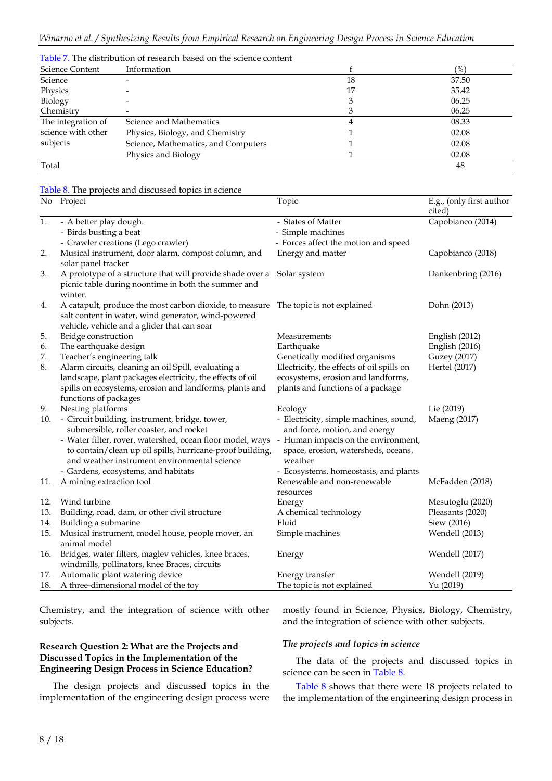|                    | Table 7. The distribution of research based on the science content |    |               |
|--------------------|--------------------------------------------------------------------|----|---------------|
| Science Content    | Information                                                        |    | $\frac{9}{6}$ |
| Science            |                                                                    | 18 | 37.50         |
| Physics            |                                                                    | 17 | 35.42         |
| Biology            |                                                                    |    | 06.25         |
| Chemistry          |                                                                    |    | 06.25         |
| The integration of | Science and Mathematics                                            |    | 08.33         |
| science with other | Physics, Biology, and Chemistry                                    |    | 02.08         |
| subjects           | Science, Mathematics, and Computers                                |    | 02.08         |
|                    | Physics and Biology                                                |    | 02.08         |
| Total              |                                                                    |    | 48            |

Table 8. The projects and discussed topics in science

|     | No Project                                                                                                                                                                               | Topic                                                                               | E.g., (only first author<br>cited) |
|-----|------------------------------------------------------------------------------------------------------------------------------------------------------------------------------------------|-------------------------------------------------------------------------------------|------------------------------------|
| 1.  | - A better play dough.                                                                                                                                                                   | - States of Matter                                                                  | Capobianco (2014)                  |
|     | - Birds busting a beat                                                                                                                                                                   | - Simple machines                                                                   |                                    |
|     | - Crawler creations (Lego crawler)                                                                                                                                                       | - Forces affect the motion and speed                                                |                                    |
| 2.  | Musical instrument, door alarm, compost column, and<br>solar panel tracker                                                                                                               | Energy and matter                                                                   | Capobianco (2018)                  |
| 3.  | A prototype of a structure that will provide shade over a Solar system<br>picnic table during noontime in both the summer and<br>winter.                                                 |                                                                                     | Dankenbring (2016)                 |
| 4.  | A catapult, produce the most carbon dioxide, to measure The topic is not explained<br>salt content in water, wind generator, wind-powered<br>vehicle, vehicle and a glider that can soar |                                                                                     | Dohn (2013)                        |
| 5.  | Bridge construction                                                                                                                                                                      | Measurements                                                                        | English (2012)                     |
| 6.  | The earthquake design                                                                                                                                                                    | Earthquake                                                                          | English (2016)                     |
| 7.  | Teacher's engineering talk                                                                                                                                                               | Genetically modified organisms                                                      | Guzey (2017)                       |
| 8.  | Alarm circuits, cleaning an oil Spill, evaluating a                                                                                                                                      | Electricity, the effects of oil spills on                                           | Hertel (2017)                      |
|     | landscape, plant packages electricity, the effects of oil                                                                                                                                | ecosystems, erosion and landforms,                                                  |                                    |
|     | spills on ecosystems, erosion and landforms, plants and                                                                                                                                  | plants and functions of a package                                                   |                                    |
|     | functions of packages                                                                                                                                                                    |                                                                                     |                                    |
| 9.  | Nesting platforms                                                                                                                                                                        | Ecology                                                                             | Lie (2019)                         |
| 10. | - Circuit building, instrument, bridge, tower,<br>submersible, roller coaster, and rocket                                                                                                | - Electricity, simple machines, sound,<br>and force, motion, and energy             | Maeng (2017)                       |
|     | - Water filter, rover, watershed, ocean floor model, ways -<br>to contain/clean up oil spills, hurricane-proof building,<br>and weather instrument environmental science                 | Human impacts on the environment,<br>space, erosion, watersheds, oceans,<br>weather |                                    |
|     | - Gardens, ecosystems, and habitats                                                                                                                                                      | - Ecosystems, homeostasis, and plants                                               |                                    |
| 11. | A mining extraction tool                                                                                                                                                                 | Renewable and non-renewable                                                         | McFadden (2018)                    |
|     |                                                                                                                                                                                          | resources                                                                           |                                    |
| 12. | Wind turbine                                                                                                                                                                             | Energy                                                                              | Mesutoglu (2020)                   |
| 13. | Building, road, dam, or other civil structure                                                                                                                                            | A chemical technology                                                               | Pleasants (2020)                   |
| 14. | Building a submarine                                                                                                                                                                     | Fluid                                                                               | Siew (2016)                        |
| 15. | Musical instrument, model house, people mover, an                                                                                                                                        | Simple machines                                                                     | Wendell (2013)                     |
|     | animal model                                                                                                                                                                             |                                                                                     |                                    |
| 16. | Bridges, water filters, maglev vehicles, knee braces,                                                                                                                                    | Energy                                                                              | Wendell (2017)                     |
|     | windmills, pollinators, knee Braces, circuits                                                                                                                                            |                                                                                     |                                    |
| 17. | Automatic plant watering device                                                                                                                                                          | Energy transfer                                                                     | Wendell (2019)                     |
|     | 18. A three-dimensional model of the toy                                                                                                                                                 | The topic is not explained                                                          | Yu (2019)                          |

Chemistry, and the integration of science with other subjects.

#### **Research Question 2: What are the Projects and Discussed Topics in the Implementation of the Engineering Design Process in Science Education?**

The design projects and discussed topics in the implementation of the engineering design process were mostly found in Science, Physics, Biology, Chemistry, and the integration of science with other subjects.

#### *The projects and topics in science*

The data of the projects and discussed topics in science can be seen in Table 8.

Table 8 shows that there were 18 projects related to the implementation of the engineering design process in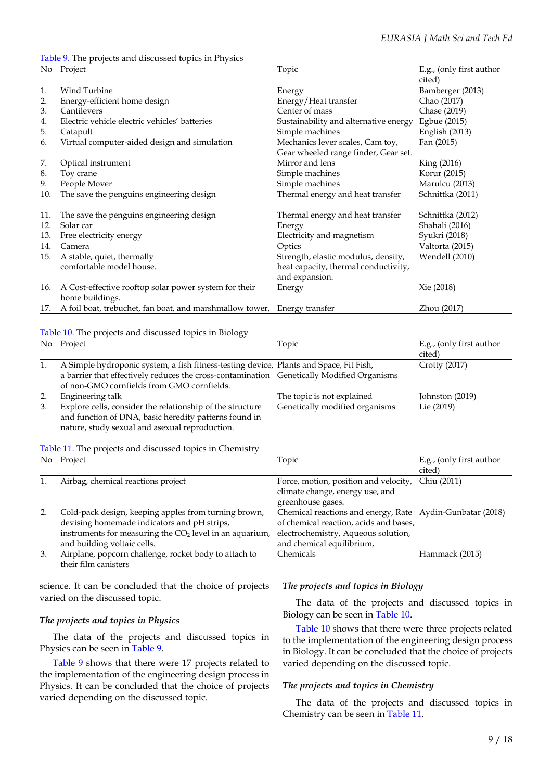### Table 9. The projects and discussed topics in Physics

| No  | Project                                                                      | Topic                                                  | E.g., (only first author |
|-----|------------------------------------------------------------------------------|--------------------------------------------------------|--------------------------|
|     |                                                                              |                                                        | cited)                   |
| 1.  | Wind Turbine                                                                 | Energy                                                 | Bamberger (2013)         |
| 2.  | Energy-efficient home design                                                 | Energy/Heat transfer                                   | Chao (2017)              |
| 3.  | Cantilevers                                                                  | Center of mass                                         | Chase (2019)             |
| 4.  | Electric vehicle electric vehicles' batteries                                | Sustainability and alternative energy                  | Egbue (2015)             |
| 5.  | Catapult                                                                     | Simple machines                                        | English (2013)           |
| 6.  | Virtual computer-aided design and simulation                                 | Mechanics lever scales, Cam toy,                       | Fan (2015)               |
|     |                                                                              | Gear wheeled range finder, Gear set.                   |                          |
| 7.  | Optical instrument                                                           | Mirror and lens                                        | King (2016)              |
| 8.  | Toy crane                                                                    | Simple machines                                        | Korur (2015)             |
| 9.  | People Mover                                                                 | Simple machines                                        | Marulcu (2013)           |
| 10. | The save the penguins engineering design                                     | Thermal energy and heat transfer                       | Schnittka (2011)         |
| 11. | The save the penguins engineering design                                     | Thermal energy and heat transfer                       | Schnittka (2012)         |
| 12. | Solar car                                                                    | Energy                                                 | Shahali (2016)           |
| 13. | Free electricity energy                                                      | Electricity and magnetism                              | Syukri (2018)            |
| 14. | Camera                                                                       | Optics                                                 | Valtorta (2015)          |
| 15. | A stable, quiet, thermally                                                   | Strength, elastic modulus, density,                    | Wendell (2010)           |
|     | comfortable model house.                                                     | heat capacity, thermal conductivity,<br>and expansion. |                          |
| 16. | A Cost-effective rooftop solar power system for their<br>home buildings.     | Energy                                                 | Xie (2018)               |
|     | 17. A foil boat, trebuchet, fan boat, and marshmallow tower, Energy transfer |                                                        | Zhou (2017)              |

#### Table 10. The projects and discussed topics in Biology

|    |                                                                                           | $\cdots$ |                                |                                    |
|----|-------------------------------------------------------------------------------------------|----------|--------------------------------|------------------------------------|
|    | No Project                                                                                |          | Topic                          | E.g., (only first author<br>cited) |
|    |                                                                                           |          |                                |                                    |
|    | A Simple hydroponic system, a fish fitness-testing device, Plants and Space, Fit Fish,    |          |                                | Crotty $(2017)$                    |
|    | a barrier that effectively reduces the cross-contamination Genetically Modified Organisms |          |                                |                                    |
|    | of non-GMO cornfields from GMO cornfields.                                                |          |                                |                                    |
| 2. | Engineering talk                                                                          |          | The topic is not explained     | Johnston (2019)                    |
| 3. | Explore cells, consider the relationship of the structure                                 |          | Genetically modified organisms | Lie (2019)                         |
|    | and function of DNA, basic heredity patterns found in                                     |          |                                |                                    |

nature, study sexual and asexual reproduction.

## Table 11. The projects and discussed topics in Chemistry

|    | Table 11. The projects and diseassed to pies in Chemistr  |                                                           |                          |
|----|-----------------------------------------------------------|-----------------------------------------------------------|--------------------------|
|    | No Project                                                | Topic                                                     | E.g., (only first author |
|    |                                                           |                                                           | cited)                   |
|    | Airbag, chemical reactions project                        | Force, motion, position and velocity,                     | Chiu (2011)              |
|    |                                                           | climate change, energy use, and                           |                          |
|    |                                                           | greenhouse gases.                                         |                          |
|    | Cold-pack design, keeping apples from turning brown,      | Chemical reactions and energy, Rate Aydin-Gunbatar (2018) |                          |
|    | devising homemade indicators and pH strips,               | of chemical reaction, acids and bases,                    |                          |
|    | instruments for measuring the $CO2$ level in an aquarium, | electrochemistry, Aqueous solution,                       |                          |
|    | and building voltaic cells.                               | and chemical equilibrium,                                 |                          |
| 3. | Airplane, popcorn challenge, rocket body to attach to     | Chemicals                                                 | Hammack (2015)           |
|    | their film canisters                                      |                                                           |                          |

science. It can be concluded that the choice of projects varied on the discussed topic.

#### *The projects and topics in Physics*

The data of the projects and discussed topics in Physics can be seen in Table 9.

Table 9 shows that there were 17 projects related to the implementation of the engineering design process in Physics. It can be concluded that the choice of projects varied depending on the discussed topic.

#### *The projects and topics in Biology*

The data of the projects and discussed topics in Biology can be seen in Table 10.

Table 10 shows that there were three projects related to the implementation of the engineering design process in Biology. It can be concluded that the choice of projects varied depending on the discussed topic.

#### *The projects and topics in Chemistry*

The data of the projects and discussed topics in Chemistry can be seen in Table 11.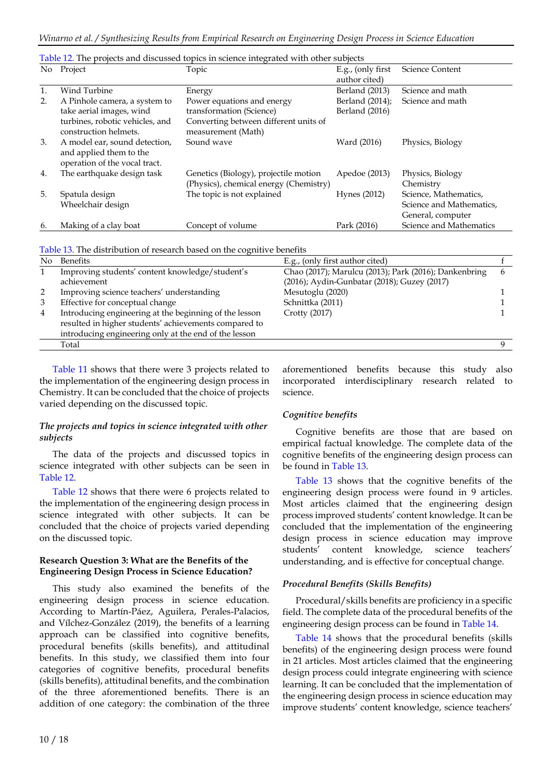|                | Table 12. The projects and discussed topics in science integrated with other subjects     |                                                                                 |                                    |                                                                        |  |  |  |
|----------------|-------------------------------------------------------------------------------------------|---------------------------------------------------------------------------------|------------------------------------|------------------------------------------------------------------------|--|--|--|
|                | No Project                                                                                | Topic                                                                           | E.g., (only first<br>author cited) | <b>Science Content</b>                                                 |  |  |  |
| $\mathbf{1}$ . | Wind Turbine                                                                              | Energy                                                                          | Berland (2013)                     | Science and math                                                       |  |  |  |
| 2.             | A Pinhole camera, a system to                                                             | Power equations and energy                                                      | Berland (2014);                    | Science and math                                                       |  |  |  |
|                | take aerial images, wind                                                                  | transformation (Science)                                                        | Berland (2016)                     |                                                                        |  |  |  |
|                | turbines, robotic vehicles, and<br>construction helmets.                                  | Converting between different units of<br>measurement (Math)                     |                                    |                                                                        |  |  |  |
| 3.             | A model ear, sound detection,<br>and applied them to the<br>operation of the vocal tract. | Sound wave                                                                      | Ward (2016)                        | Physics, Biology                                                       |  |  |  |
| 4.             | The earthquake design task                                                                | Genetics (Biology), projectile motion<br>(Physics), chemical energy (Chemistry) | Apedoe (2013)                      | Physics, Biology<br>Chemistry                                          |  |  |  |
| 5.             | Spatula design<br>Wheelchair design                                                       | The topic is not explained                                                      | Hynes (2012)                       | Science, Mathematics,<br>Science and Mathematics,<br>General, computer |  |  |  |
| 6.             | Making of a clay boat                                                                     | Concept of volume                                                               | Park (2016)                        | Science and Mathematics                                                |  |  |  |

|  |  | Table 12. The projects and discussed topics in science integrated with other subjects |
|--|--|---------------------------------------------------------------------------------------|
|  |  |                                                                                       |

| Table 13. The distribution of research based on the cognitive benefits |  |
|------------------------------------------------------------------------|--|
|------------------------------------------------------------------------|--|

| No | <b>Benefits</b>                                        | E.g., (only first author cited)                       |  |
|----|--------------------------------------------------------|-------------------------------------------------------|--|
|    | Improving students' content knowledge/student's        | Chao (2017); Marulcu (2013); Park (2016); Dankenbring |  |
|    | achievement                                            | (2016); Aydin-Gunbatar (2018); Guzey (2017)           |  |
|    | Improving science teachers' understanding              | Mesutoglu (2020)                                      |  |
|    | Effective for conceptual change                        | Schnittka (2011)                                      |  |
| 4  | Introducing engineering at the beginning of the lesson | Crotty (2017)                                         |  |
|    | resulted in higher students' achievements compared to  |                                                       |  |
|    | introducing engineering only at the end of the lesson  |                                                       |  |
|    | Total                                                  |                                                       |  |

Table 11 shows that there were 3 projects related to the implementation of the engineering design process in Chemistry. It can be concluded that the choice of projects varied depending on the discussed topic.

#### *The projects and topics in science integrated with other subjects*

The data of the projects and discussed topics in science integrated with other subjects can be seen in Table 12.

Table 12 shows that there were 6 projects related to the implementation of the engineering design process in science integrated with other subjects. It can be concluded that the choice of projects varied depending on the discussed topic.

#### **Research Question 3: What are the Benefits of the Engineering Design Process in Science Education?**

This study also examined the benefits of the engineering design process in science education. According to Martín‐Páez, Aguilera, Perales‐Palacios, and Vílchez‐González (2019), the benefits of a learning approach can be classified into cognitive benefits, procedural benefits (skills benefits), and attitudinal benefits. In this study, we classified them into four categories of cognitive benefits, procedural benefits (skills benefits), attitudinal benefits, and the combination of the three aforementioned benefits. There is an addition of one category: the combination of the three aforementioned benefits because this study also incorporated interdisciplinary research related to science.

### *Cognitive benefits*

Cognitive benefits are those that are based on empirical factual knowledge. The complete data of the cognitive benefits of the engineering design process can be found in Table 13.

Table 13 shows that the cognitive benefits of the engineering design process were found in 9 articles. Most articles claimed that the engineering design process improved students' content knowledge. It can be concluded that the implementation of the engineering design process in science education may improve students' content knowledge, science teachers' understanding, and is effective for conceptual change.

### *Procedural Benefits (Skills Benefits)*

Procedural/skills benefits are proficiency in a specific field. The complete data of the procedural benefits of the engineering design process can be found in Table 14.

Table 14 shows that the procedural benefits (skills benefits) of the engineering design process were found in 21 articles. Most articles claimed that the engineering design process could integrate engineering with science learning. It can be concluded that the implementation of the engineering design process in science education may improve students' content knowledge, science teachers'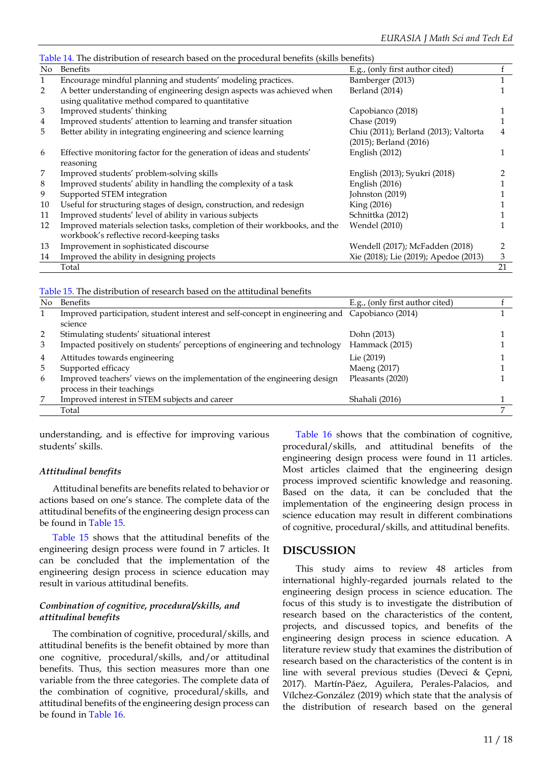| Table 14. The distribution of research based on the procedural benefits (skills benefits) |                                                                            |                                       |    |
|-------------------------------------------------------------------------------------------|----------------------------------------------------------------------------|---------------------------------------|----|
|                                                                                           | No Benefits                                                                | E.g., (only first author cited)       |    |
| $\mathbf{1}$                                                                              | Encourage mindful planning and students' modeling practices.               | Bamberger (2013)                      |    |
| 2                                                                                         | A better understanding of engineering design aspects was achieved when     | Berland (2014)                        |    |
|                                                                                           | using qualitative method compared to quantitative                          |                                       |    |
| 3                                                                                         | Improved students' thinking                                                | Capobianco (2018)                     |    |
| $\overline{4}$                                                                            | Improved students' attention to learning and transfer situation            | Chase (2019)                          |    |
| 5                                                                                         | Better ability in integrating engineering and science learning             | Chiu (2011); Berland (2013); Valtorta |    |
|                                                                                           |                                                                            | (2015); Berland (2016)                |    |
| 6                                                                                         | Effective monitoring factor for the generation of ideas and students'      | English (2012)                        |    |
|                                                                                           | reasoning                                                                  |                                       |    |
| 7                                                                                         | Improved students' problem-solving skills                                  | English (2013); Syukri (2018)         |    |
| 8                                                                                         | Improved students' ability in handling the complexity of a task            | English (2016)                        |    |
| 9                                                                                         | Supported STEM integration                                                 | Johnston (2019)                       |    |
| 10                                                                                        | Useful for structuring stages of design, construction, and redesign        | King (2016)                           |    |
| 11                                                                                        | Improved students' level of ability in various subjects                    | Schnittka (2012)                      |    |
| 12                                                                                        | Improved materials selection tasks, completion of their workbooks, and the | Wendel (2010)                         |    |
|                                                                                           | workbook's reflective record-keeping tasks                                 |                                       |    |
| 13                                                                                        | Improvement in sophisticated discourse                                     | Wendell (2017); McFadden (2018)       | 2  |
| 14                                                                                        | Improved the ability in designing projects                                 | Xie (2018); Lie (2019); Apedoe (2013) | 3  |
|                                                                                           | Total                                                                      |                                       | 21 |

Table 15. The distribution of research based on the attitudinal benefits

| No | <b>Benefits</b>                                                                                           | E.g., (only first author cited) |  |
|----|-----------------------------------------------------------------------------------------------------------|---------------------------------|--|
|    | Improved participation, student interest and self-concept in engineering and Capobianco (2014)<br>science |                                 |  |
| 2  | Stimulating students' situational interest                                                                | Dohn (2013)                     |  |
| 3  | Impacted positively on students' perceptions of engineering and technology                                | Hammack (2015)                  |  |
| 4  | Attitudes towards engineering                                                                             | Lie (2019)                      |  |
| 5  | Supported efficacy                                                                                        | Maeng (2017)                    |  |
| 6  | Improved teachers' views on the implementation of the engineering design<br>process in their teachings    | Pleasants (2020)                |  |
| 7  | Improved interest in STEM subjects and career                                                             | Shahali (2016)                  |  |
|    | Total                                                                                                     |                                 |  |
|    |                                                                                                           |                                 |  |

understanding, and is effective for improving various students' skills.

#### *Attitudinal benefits*

Attitudinal benefits are benefits related to behavior or actions based on one's stance. The complete data of the attitudinal benefits of the engineering design process can be found in Table 15.

Table 15 shows that the attitudinal benefits of the engineering design process were found in 7 articles. It can be concluded that the implementation of the engineering design process in science education may result in various attitudinal benefits.

#### *Combination of cognitive, procedural/skills, and attitudinal benefits*

The combination of cognitive, procedural/skills, and attitudinal benefits is the benefit obtained by more than one cognitive, procedural/skills, and/or attitudinal benefits. Thus, this section measures more than one variable from the three categories. The complete data of the combination of cognitive, procedural/skills, and attitudinal benefits of the engineering design process can be found in Table 16.

Table 16 shows that the combination of cognitive, procedural/skills, and attitudinal benefits of the engineering design process were found in 11 articles. Most articles claimed that the engineering design process improved scientific knowledge and reasoning. Based on the data, it can be concluded that the implementation of the engineering design process in science education may result in different combinations of cognitive, procedural/skills, and attitudinal benefits.

## **DISCUSSION**

This study aims to review 48 articles from international highly-regarded journals related to the engineering design process in science education. The focus of this study is to investigate the distribution of research based on the characteristics of the content, projects, and discussed topics, and benefits of the engineering design process in science education. A literature review study that examines the distribution of research based on the characteristics of the content is in line with several previous studies (Deveci & Çepni, 2017). Martín-Páez, Aguilera, Perales-Palacios, and Vílchez-González (2019) which state that the analysis of the distribution of research based on the general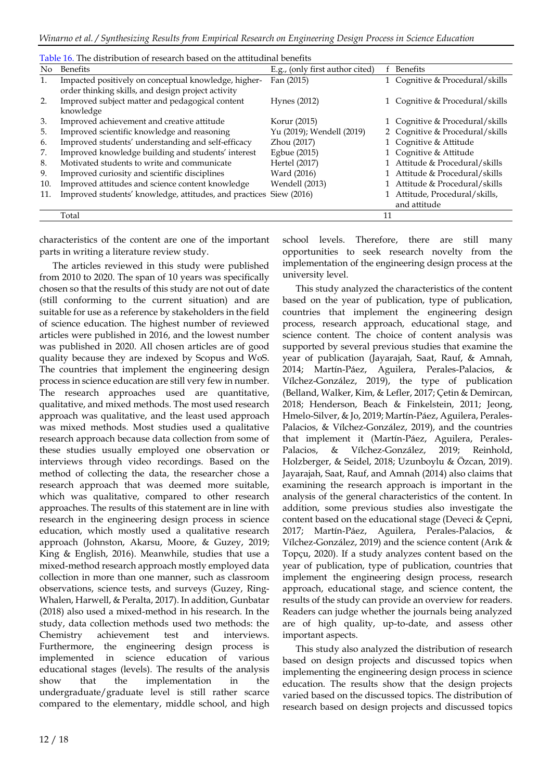| Table 16. The distribution of research based on the attitudinal benefits |                                                        |                                 |    |                                 |
|--------------------------------------------------------------------------|--------------------------------------------------------|---------------------------------|----|---------------------------------|
| No.                                                                      | Benefits                                               | E.g., (only first author cited) |    | <b>Benefits</b>                 |
| 1.                                                                       | Impacted positively on conceptual knowledge, higher-   | Fan (2015)                      |    | 1 Cognitive & Procedural/skills |
|                                                                          | order thinking skills, and design project activity     |                                 |    |                                 |
| 2.                                                                       | Improved subject matter and pedagogical content        | Hynes (2012)                    |    | 1 Cognitive & Procedural/skills |
|                                                                          | knowledge                                              |                                 |    |                                 |
| 3.                                                                       | Improved achievement and creative attitude             | Korur (2015)                    |    | 1 Cognitive & Procedural/skills |
| 5.                                                                       | Improved scientific knowledge and reasoning            | Yu (2019); Wendell (2019)       |    | 2 Cognitive & Procedural/skills |
| 6.                                                                       | Improved students' understanding and self-efficacy     | Zhou (2017)                     |    | 1 Cognitive & Attitude          |
| 7.                                                                       | Improved knowledge building and students' interest     | Egbue (2015)                    |    | 1 Cognitive & Attitude          |
| 8.                                                                       | Motivated students to write and communicate            | Hertel (2017)                   |    | Attitude & Procedural/skills    |
| 9.                                                                       | Improved curiosity and scientific disciplines          | Ward (2016)                     |    | Attitude & Procedural/skills    |
| 10.                                                                      | Improved attitudes and science content knowledge       | Wendell (2013)                  |    | Attitude & Procedural/skills    |
| 11.                                                                      | Improved students' knowledge, attitudes, and practices | Siew (2016)                     |    | Attitude, Procedural/skills,    |
|                                                                          |                                                        |                                 |    | and attitude                    |
|                                                                          | Total                                                  |                                 | 11 |                                 |
|                                                                          |                                                        |                                 |    |                                 |

characteristics of the content are one of the important parts in writing a literature review study.

The articles reviewed in this study were published from 2010 to 2020. The span of 10 years was specifically chosen so that the results of this study are not out of date (still conforming to the current situation) and are suitable for use as a reference by stakeholders in the field of science education. The highest number of reviewed articles were published in 2016, and the lowest number was published in 2020. All chosen articles are of good quality because they are indexed by Scopus and WoS. The countries that implement the engineering design process in science education are still very few in number. The research approaches used are quantitative, qualitative, and mixed methods. The most used research approach was qualitative, and the least used approach was mixed methods. Most studies used a qualitative research approach because data collection from some of these studies usually employed one observation or interviews through video recordings. Based on the method of collecting the data, the researcher chose a research approach that was deemed more suitable, which was qualitative, compared to other research approaches. The results of this statement are in line with research in the engineering design process in science education, which mostly used a qualitative research approach (Johnston, Akarsu, Moore, & Guzey, 2019; King & English, 2016). Meanwhile, studies that use a mixed-method research approach mostly employed data collection in more than one manner, such as classroom observations, science tests, and surveys (Guzey, Ring-Whalen, Harwell, & Peralta, 2017). In addition, Gunbatar (2018) also used a mixed-method in his research. In the study, data collection methods used two methods: the Chemistry achievement test and interviews. Furthermore, the engineering design process is implemented in science education of various educational stages (levels). The results of the analysis show that the implementation in the undergraduate/graduate level is still rather scarce compared to the elementary, middle school, and high school levels. Therefore, there are still many opportunities to seek research novelty from the implementation of the engineering design process at the university level.

This study analyzed the characteristics of the content based on the year of publication, type of publication, countries that implement the engineering design process, research approach, educational stage, and science content. The choice of content analysis was supported by several previous studies that examine the year of publication (Jayarajah, Saat, Rauf, & Amnah, 2014; Martín-Páez, Aguilera, Perales-Palacios, & Vílchez-González, 2019), the type of publication (Belland, Walker, Kim, & Lefler, 2017; Çetin & Demircan, 2018; Henderson, Beach & Finkelstein, 2011; Jeong, Hmelo-Silver, & Jo, 2019; Martín‐Páez, Aguilera, Perales‐ Palacios, & Vílchez‐González, 2019), and the countries that implement it (Martín‐Páez, Aguilera, Perales‐ Palacios, & Vílchez‐González, 2019; Reinhold, Holzberger, & Seidel, 2018; Uzunboylu & Özcan, 2019). Jayarajah, Saat, Rauf, and Amnah (2014) also claims that examining the research approach is important in the analysis of the general characteristics of the content. In addition, some previous studies also investigate the content based on the educational stage (Deveci & Çepni, 2017; Martín‐Páez, Aguilera, Perales‐Palacios, & Vílchez‐González, 2019) and the science content (Arık & Topçu, 2020). If a study analyzes content based on the year of publication, type of publication, countries that implement the engineering design process, research approach, educational stage, and science content, the results of the study can provide an overview for readers. Readers can judge whether the journals being analyzed are of high quality, up-to-date, and assess other important aspects.

This study also analyzed the distribution of research based on design projects and discussed topics when implementing the engineering design process in science education. The results show that the design projects varied based on the discussed topics. The distribution of research based on design projects and discussed topics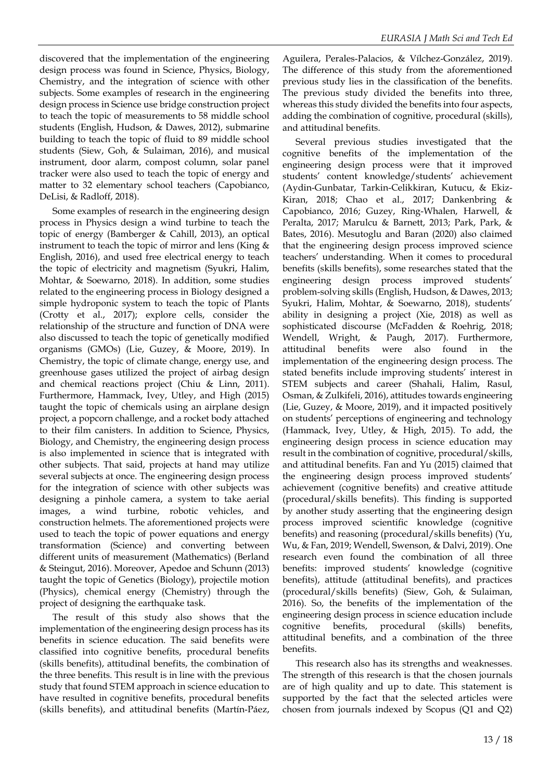discovered that the implementation of the engineering design process was found in Science, Physics, Biology, Chemistry, and the integration of science with other subjects. Some examples of research in the engineering design process in Science use bridge construction project to teach the topic of measurements to 58 middle school students (English, Hudson, & Dawes, 2012), submarine building to teach the topic of fluid to 89 middle school students (Siew, Goh, & Sulaiman, 2016), and musical instrument, door alarm, compost column, solar panel tracker were also used to teach the topic of energy and matter to 32 elementary school teachers (Capobianco, DeLisi, & Radloff, 2018).

Some examples of research in the engineering design process in Physics design a wind turbine to teach the topic of energy (Bamberger & Cahill, 2013), an optical instrument to teach the topic of mirror and lens (King  $\&$ English, 2016), and used free electrical energy to teach the topic of electricity and magnetism (Syukri, Halim, Mohtar, & Soewarno, 2018). In addition, some studies related to the engineering process in Biology designed a simple hydroponic system to teach the topic of Plants (Crotty et al., 2017); explore cells, consider the relationship of the structure and function of DNA were also discussed to teach the topic of genetically modified organisms (GMOs) (Lie, Guzey, & Moore, 2019). In Chemistry, the topic of climate change, energy use, and greenhouse gases utilized the project of airbag design and chemical reactions project (Chiu & Linn, 2011). Furthermore, Hammack, Ivey, Utley, and High (2015) taught the topic of chemicals using an airplane design project, a popcorn challenge, and a rocket body attached to their film canisters. In addition to Science, Physics, Biology, and Chemistry, the engineering design process is also implemented in science that is integrated with other subjects. That said, projects at hand may utilize several subjects at once. The engineering design process for the integration of science with other subjects was designing a pinhole camera, a system to take aerial images, a wind turbine, robotic vehicles, and construction helmets. The aforementioned projects were used to teach the topic of power equations and energy transformation (Science) and converting between different units of measurement (Mathematics) (Berland & Steingut, 2016). Moreover, Apedoe and Schunn (2013) taught the topic of Genetics (Biology), projectile motion (Physics), chemical energy (Chemistry) through the project of designing the earthquake task.

The result of this study also shows that the implementation of the engineering design process has its benefits in science education. The said benefits were classified into cognitive benefits, procedural benefits (skills benefits), attitudinal benefits, the combination of the three benefits. This result is in line with the previous study that found STEM approach in science education to have resulted in cognitive benefits, procedural benefits (skills benefits), and attitudinal benefits (Martín‐Páez, Aguilera, Perales‐Palacios, & Vílchez‐González, 2019). The difference of this study from the aforementioned previous study lies in the classification of the benefits. The previous study divided the benefits into three, whereas this study divided the benefits into four aspects, adding the combination of cognitive, procedural (skills), and attitudinal benefits.

Several previous studies investigated that the cognitive benefits of the implementation of the engineering design process were that it improved students' content knowledge/students' achievement (Aydin-Gunbatar, Tarkin-Celikkiran, Kutucu, & Ekiz-Kiran, 2018; Chao et al., 2017; Dankenbring & Capobianco, 2016; Guzey, Ring-Whalen, Harwell, & Peralta, 2017; Marulcu & Barnett, 2013; Park, Park, & Bates, 2016). Mesutoglu and Baran (2020) also claimed that the engineering design process improved science teachers' understanding. When it comes to procedural benefits (skills benefits), some researches stated that the engineering design process improved students' problem-solving skills (English, Hudson, & Dawes, 2013; Syukri, Halim, Mohtar, & Soewarno, 2018), students' ability in designing a project (Xie, 2018) as well as sophisticated discourse (McFadden & Roehrig, 2018; Wendell, Wright, & Paugh, 2017). Furthermore, attitudinal benefits were also found in the implementation of the engineering design process. The stated benefits include improving students' interest in STEM subjects and career (Shahali, Halim, Rasul, Osman, & Zulkifeli, 2016), attitudes towards engineering (Lie, Guzey, & Moore, 2019), and it impacted positively on students' perceptions of engineering and technology (Hammack, Ivey, Utley, & High, 2015). To add, the engineering design process in science education may result in the combination of cognitive, procedural/skills, and attitudinal benefits. Fan and Yu (2015) claimed that the engineering design process improved students' achievement (cognitive benefits) and creative attitude (procedural/skills benefits). This finding is supported by another study asserting that the engineering design process improved scientific knowledge (cognitive benefits) and reasoning (procedural/skills benefits) (Yu, Wu, & Fan, 2019; Wendell, Swenson, & Dalvi, 2019). One research even found the combination of all three benefits: improved students' knowledge (cognitive benefits), attitude (attitudinal benefits), and practices (procedural/skills benefits) (Siew, Goh, & Sulaiman, 2016). So, the benefits of the implementation of the engineering design process in science education include cognitive benefits, procedural (skills) benefits, attitudinal benefits, and a combination of the three benefits.

This research also has its strengths and weaknesses. The strength of this research is that the chosen journals are of high quality and up to date. This statement is supported by the fact that the selected articles were chosen from journals indexed by Scopus (Q1 and Q2)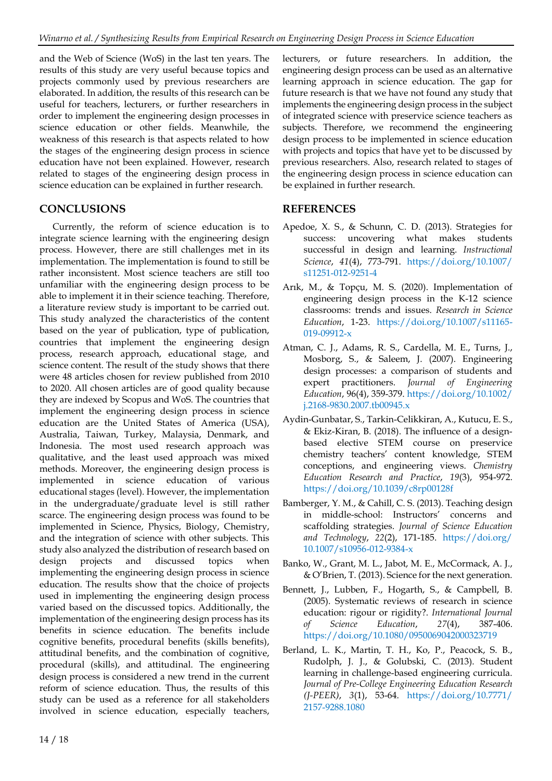and the Web of Science (WoS) in the last ten years. The results of this study are very useful because topics and projects commonly used by previous researchers are elaborated. In addition, the results of this research can be useful for teachers, lecturers, or further researchers in order to implement the engineering design processes in science education or other fields. Meanwhile, the weakness of this research is that aspects related to how the stages of the engineering design process in science education have not been explained. However, research related to stages of the engineering design process in science education can be explained in further research.

# **CONCLUSIONS**

Currently, the reform of science education is to integrate science learning with the engineering design process. However, there are still challenges met in its implementation. The implementation is found to still be rather inconsistent. Most science teachers are still too unfamiliar with the engineering design process to be able to implement it in their science teaching. Therefore, a literature review study is important to be carried out. This study analyzed the characteristics of the content based on the year of publication, type of publication, countries that implement the engineering design process, research approach, educational stage, and science content. The result of the study shows that there were 48 articles chosen for review published from 2010 to 2020. All chosen articles are of good quality because they are indexed by Scopus and WoS. The countries that implement the engineering design process in science education are the United States of America (USA), Australia, Taiwan, Turkey, Malaysia, Denmark, and Indonesia. The most used research approach was qualitative, and the least used approach was mixed methods. Moreover, the engineering design process is implemented in science education of various educational stages (level). However, the implementation in the undergraduate/graduate level is still rather scarce. The engineering design process was found to be implemented in Science, Physics, Biology, Chemistry, and the integration of science with other subjects. This study also analyzed the distribution of research based on design projects and discussed topics when implementing the engineering design process in science education. The results show that the choice of projects used in implementing the engineering design process varied based on the discussed topics. Additionally, the implementation of the engineering design process has its benefits in science education. The benefits include cognitive benefits, procedural benefits (skills benefits), attitudinal benefits, and the combination of cognitive, procedural (skills), and attitudinal. The engineering design process is considered a new trend in the current reform of science education. Thus, the results of this study can be used as a reference for all stakeholders involved in science education, especially teachers,

lecturers, or future researchers. In addition, the engineering design process can be used as an alternative learning approach in science education. The gap for future research is that we have not found any study that implements the engineering design process in the subject of integrated science with preservice science teachers as subjects. Therefore, we recommend the engineering design process to be implemented in science education with projects and topics that have yet to be discussed by previous researchers. Also, research related to stages of the engineering design process in science education can be explained in further research.

# **REFERENCES**

- Apedoe, X. S., & Schunn, C. D. (2013). Strategies for success: uncovering what makes students successful in design and learning. *Instructional Science*, *41*(4), 773-791. [https://doi.org/10.1007/](https://doi.org/10.1007/s11251-012-9251-4) [s11251-012-9251-4](https://doi.org/10.1007/s11251-012-9251-4)
- Arık, M., & Topçu, M. S. (2020). Implementation of engineering design process in the K-12 science classrooms: trends and issues. *Research in Science Education*, 1-23. [https://doi.org/10.1007/s11165-](https://doi.org/10.1007/s11165-019-09912-x) [019-09912-x](https://doi.org/10.1007/s11165-019-09912-x)
- Atman, C. J., Adams, R. S., Cardella, M. E., Turns, J., Mosborg, S., & Saleem, J. (2007). Engineering design processes: a comparison of students and expert practitioners. *Journal of Engineering Education*, 96(4), 359-379. [https://doi.org/10.1002/](https://doi.org/10.1002/j.2168-9830.2007.tb00945.x) [j.2168-9830.2007.tb00945.x](https://doi.org/10.1002/j.2168-9830.2007.tb00945.x)
- Aydin-Gunbatar, S., Tarkin-Celikkiran, A., Kutucu, E. S., & Ekiz-Kiran, B. (2018). The influence of a designbased elective STEM course on preservice chemistry teachers' content knowledge, STEM conceptions, and engineering views. *Chemistry Education Research and Practice*, *19*(3), 954-972. <https://doi.org/10.1039/c8rp00128f>
- Bamberger, Y. M., & Cahill, C. S. (2013). Teaching design in middle-school: Instructors' concerns and scaffolding strategies. *Journal of Science Education and Technology*, *22*(2), 171-185. [https://doi.org/](https://doi.org/10.1007/s10956-012-9384-x) [10.1007/s10956-012-9384-x](https://doi.org/10.1007/s10956-012-9384-x)
- Banko, W., Grant, M. L., Jabot, M. E., McCormack, A. J., & O'Brien, T. (2013). Science for the next generation.
- Bennett, J., Lubben, F., Hogarth, S., & Campbell, B. (2005). Systematic reviews of research in science education: rigour or rigidity?. *International Journal of Science Education*, *27*(4), 387-406. <https://doi.org/10.1080/0950069042000323719>
- Berland, L. K., Martin, T. H., Ko, P., Peacock, S. B., Rudolph, J. J., & Golubski, C. (2013). Student learning in challenge-based engineering curricula. *Journal of Pre-College Engineering Education Research (J-PEER)*, *3*(1), 53-64. [https://doi.org/10.7771/](https://doi.org/10.7771/2157-9288.1080) [2157-9288.1080](https://doi.org/10.7771/2157-9288.1080)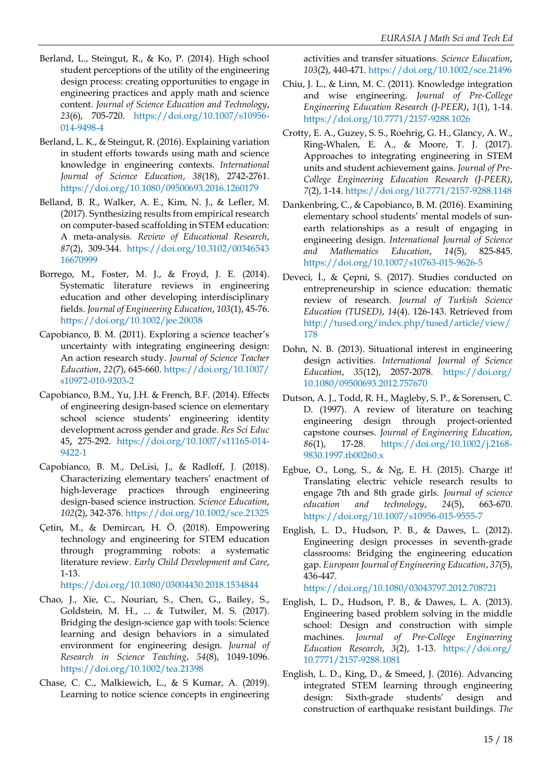- Berland, L., Steingut, R., & Ko, P. (2014). High school student perceptions of the utility of the engineering design process: creating opportunities to engage in engineering practices and apply math and science content. *Journal of Science Education and Technology*, *23*(6), 705-720. [https://doi.org/10.1007/s10956-](https://doi.org/10.1007/s10956-014-9498-4) [014-9498-4](https://doi.org/10.1007/s10956-014-9498-4)
- Berland, L. K., & Steingut, R. (2016). Explaining variation in student efforts towards using math and science knowledge in engineering contexts. *International Journal of Science Education*, *38*(18), 2742-2761. <https://doi.org/10.1080/09500693.2016.1260179>
- Belland, B. R., Walker, A. E., Kim, N. J., & Lefler, M. (2017). Synthesizing results from empirical research on computer-based scaffolding in STEM education: A meta-analysis. *Review of Educational Research*, *87*(2), 309-344. [https://doi.org/10.3102/00346543](https://doi.org/10.3102/0034654316670999) [16670999](https://doi.org/10.3102/0034654316670999)
- Borrego, M., Foster, M. J., & Froyd, J. E. (2014). Systematic literature reviews in engineering education and other developing interdisciplinary fields. *Journal of Engineering Education*, *103*(1), 45-76. <https://doi.org/10.1002/jee.20038>
- Capobianco, B. M. (2011). Exploring a science teacher's uncertainty with integrating engineering design: An action research study. *Journal of Science Teacher Education*, *22*(7), 645-660. [https://doi.org/10.1007/](https://doi.org/10.1007/s10972-010-9203-2) [s10972-010-9203-2](https://doi.org/10.1007/s10972-010-9203-2)
- Capobianco, B.M., Yu, J.H. & French, B.F. (2014). Effects of engineering design-based science on elementary school science students' engineering identity development across gender and grade. *Res Sci Educ* 45**,** 275-292. [https://doi.org/10.1007/s11165-014-](https://doi.org/10.1007/s11165-014-9422-1) [9422-1](https://doi.org/10.1007/s11165-014-9422-1)
- Capobianco, B. M., DeLisi, J., & Radloff, J. (2018). Characterizing elementary teachers' enactment of high‐leverage practices through engineering design‐based science instruction. *Science Education*, *102*(2), 342-376. <https://doi.org/10.1002/sce.21325>
- Çetin, M., & Demircan, H. Ö. (2018). Empowering technology and engineering for STEM education through programming robots: a systematic literature review. *Early Child Development and Care*, 1-13.

<https://doi.org/10.1080/03004430.2018.1534844>

- Chao, J., Xie, C., Nourian, S., Chen, G., Bailey, S., Goldstein, M. H., ... & Tutwiler, M. S. (2017). Bridging the design‐science gap with tools: Science learning and design behaviors in a simulated environment for engineering design. *Journal of Research in Science Teaching*, *54*(8), 1049-1096. <https://doi.org/10.1002/tea.21398>
- Chase, C. C., Malkiewich, L., & S Kumar, A. (2019). Learning to notice science concepts in engineering

activities and transfer situations. *Science Education*, *103*(2), 440-471. <https://doi.org/10.1002/sce.21496>

- Chiu, J. L., & Linn, M. C. (2011). Knowledge integration and wise engineering. *Journal of Pre-College Engineering Education Research (J-PEER)*, *1*(1), 1-14. <https://doi.org/10.7771/2157-9288.1026>
- Crotty, E. A., Guzey, S. S., Roehrig, G. H., Glancy, A. W., Ring-Whalen, E. A., & Moore, T. J. (2017). Approaches to integrating engineering in STEM units and student achievement gains. *Journal of Pre-College Engineering Education Research (J-PEER)*, *7*(2), 1-14. <https://doi.org/10.7771/2157-9288.1148>
- Dankenbring, C., & Capobianco, B. M. (2016). Examining elementary school students' mental models of sunearth relationships as a result of engaging in engineering design. *International Journal of Science and Mathematics Education*, *14*(5), 825-845. <https://doi.org/10.1007/s10763-015-9626-5>
- Deveci, İ., & Çepni, S. (2017). Studies conducted on entrepreneurship in science education: thematic review of research. *Journal of Turkish Science Education (TUSED)*, *14*(4). 126-143. Retrieved from [http://tused.org/index.php/tused/article/view/](http://tused.org/index.php/tused/article/view/178) [178](http://tused.org/index.php/tused/article/view/178)
- Dohn, N. B. (2013). Situational interest in engineering design activities. *International Journal of Science Education*, *35*(12), 2057-2078. [https://doi.org/](https://doi.org/10.1080/09500693.2012.757670) [10.1080/09500693.2012.757670](https://doi.org/10.1080/09500693.2012.757670)
- Dutson, A. J., Todd, R. H., Magleby, S. P., & Sorensen, C. D. (1997). A review of literature on teaching engineering design through project‐oriented capstone courses. *Journal of Engineering Education*, *86*(1), 17-28. [https://doi.org/10.1002/j.2168-](https://doi.org/10.1002/j.2168-9830.1997.tb00260.x) [9830.1997.tb00260.x](https://doi.org/10.1002/j.2168-9830.1997.tb00260.x)
- Egbue, O., Long, S., & Ng, E. H. (2015). Charge it! Translating electric vehicle research results to engage 7th and 8th grade girls. *Journal of science education and technology*, *24*(5), 663-670. <https://doi.org/10.1007/s10956-015-9555-7>
- English, L. D., Hudson, P. B., & Dawes, L. (2012). Engineering design processes in seventh-grade classrooms: Bridging the engineering education gap. *European Journal of Engineering Education*, *37*(5), 436-447.

<https://doi.org/10.1080/03043797.2012.708721>

- English, L. D., Hudson, P. B., & Dawes, L. A. (2013). Engineering based problem solving in the middle school: Design and construction with simple machines. *Journal of Pre-College Engineering Education Research*, *3*(2), 1-13. [https://doi.org/](https://doi.org/10.7771/2157-9288.1081) [10.7771/2157-9288.1081](https://doi.org/10.7771/2157-9288.1081)
- English, L. D., King, D., & Smeed, J. (2016). Advancing integrated STEM learning through engineering design: Sixth-grade students' design and construction of earthquake resistant buildings. *The*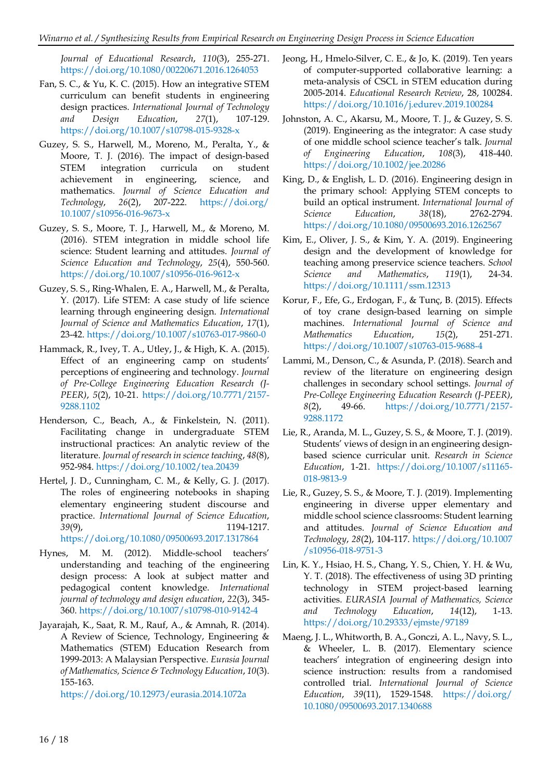*Journal of Educational Research*, *110*(3), 255-271. <https://doi.org/10.1080/00220671.2016.1264053>

- Fan, S. C., & Yu, K. C. (2015). How an integrative STEM curriculum can benefit students in engineering design practices. *International Journal of Technology and Design Education*, *27*(1), 107-129. <https://doi.org/10.1007/s10798-015-9328-x>
- Guzey, S. S., Harwell, M., Moreno, M., Peralta, Y., & Moore, T. J. (2016). The impact of design-based STEM integration curricula on student achievement in engineering, science, and mathematics. *Journal of Science Education and Technology*, *26*(2), 207-222. [https://doi.org/](https://doi.org/10.1007/s10956-016-9673-x) [10.1007/s10956-016-9673-x](https://doi.org/10.1007/s10956-016-9673-x)
- Guzey, S. S., Moore, T. J., Harwell, M., & Moreno, M. (2016). STEM integration in middle school life science: Student learning and attitudes. *Journal of Science Education and Technology*, *25*(4), 550-560. <https://doi.org/10.1007/s10956-016-9612-x>
- Guzey, S. S., Ring-Whalen, E. A., Harwell, M., & Peralta, Y. (2017). Life STEM: A case study of life science learning through engineering design. *International Journal of Science and Mathematics Education*, *17*(1), 23-42. <https://doi.org/10.1007/s10763-017-9860-0>
- Hammack, R., Ivey, T. A., Utley, J., & High, K. A. (2015). Effect of an engineering camp on students' perceptions of engineering and technology. *Journal of Pre-College Engineering Education Research (J-PEER)*, *5*(2), 10-21. [https://doi.org/10.7771/2157-](https://doi.org/10.7771/2157-9288.1102) [9288.1102](https://doi.org/10.7771/2157-9288.1102)
- Henderson, C., Beach, A., & Finkelstein, N. (2011). Facilitating change in undergraduate STEM instructional practices: An analytic review of the literature. *Journal of research in science teaching*, *48*(8), 952-984. <https://doi.org/10.1002/tea.20439>
- Hertel, J. D., Cunningham, C. M., & Kelly, G. J. (2017). The roles of engineering notebooks in shaping elementary engineering student discourse and practice. *International Journal of Science Education*, *39*(9), 1194-1217. <https://doi.org/10.1080/09500693.2017.1317864>
- Hynes, M. M. (2012). Middle-school teachers' understanding and teaching of the engineering design process: A look at subject matter and pedagogical content knowledge. *International journal of technology and design education*, *22*(3), 345- 360. <https://doi.org/10.1007/s10798-010-9142-4>
- Jayarajah, K., Saat, R. M., Rauf, A., & Amnah, R. (2014). A Review of Science, Technology, Engineering & Mathematics (STEM) Education Research from 1999-2013: A Malaysian Perspective. *Eurasia Journal of Mathematics, Science & Technology Education*, *10*(3). 155-163.

<https://doi.org/10.12973/eurasia.2014.1072a>

- Jeong, H., Hmelo-Silver, C. E., & Jo, K. (2019). Ten years of computer-supported collaborative learning: a meta-analysis of CSCL in STEM education during 2005-2014. *Educational Research Review*, 28, 100284. <https://doi.org/10.1016/j.edurev.2019.100284>
- Johnston, A. C., Akarsu, M., Moore, T. J., & Guzey, S. S. (2019). Engineering as the integrator: A case study of one middle school science teacher's talk. *Journal of Engineering Education*, *108*(3), 418-440. <https://doi.org/10.1002/jee.20286>
- King, D., & English, L. D. (2016). Engineering design in the primary school: Applying STEM concepts to build an optical instrument. *International Journal of Science Education*, *38*(18), 2762-2794. <https://doi.org/10.1080/09500693.2016.1262567>
- Kim, E., Oliver, J. S., & Kim, Y. A. (2019). Engineering design and the development of knowledge for teaching among preservice science teachers. *School Science and Mathematics*, *119*(1), 24-34. <https://doi.org/10.1111/ssm.12313>
- Korur, F., Efe, G., Erdogan, F., & Tunç, B. (2015). Effects of toy crane design-based learning on simple machines. *International Journal of Science and Mathematics Education*, *15*(2), 251-271. <https://doi.org/10.1007/s10763-015-9688-4>
- Lammi, M., Denson, C., & Asunda, P. (2018). Search and review of the literature on engineering design challenges in secondary school settings. *Journal of Pre-College Engineering Education Research (J-PEER)*, *8*(2), 49-66. [https://doi.org/10.7771/2157-](https://doi.org/10.7771/2157-9288.1172) [9288.1172](https://doi.org/10.7771/2157-9288.1172)
- Lie, R., Aranda, M. L., Guzey, S. S., & Moore, T. J. (2019). Students' views of design in an engineering designbased science curricular unit. *Research in Science Education*, 1-21. [https://doi.org/10.1007/s11165-](https://doi.org/10.1007/s11165-018-9813-9) [018-9813-9](https://doi.org/10.1007/s11165-018-9813-9)
- Lie, R., Guzey, S. S., & Moore, T. J. (2019). Implementing engineering in diverse upper elementary and middle school science classrooms: Student learning and attitudes. *Journal of Science Education and Technology*, *28*(2), 104-117. [https://doi.org/10.1007](https://doi.org/10.1007/s10956-018-9751-3) [/s10956-018-9751-3](https://doi.org/10.1007/s10956-018-9751-3)
- Lin, K. Y., Hsiao, H. S., Chang, Y. S., Chien, Y. H. & Wu, Y. T. (2018). The effectiveness of using 3D printing technology in STEM project-based learning activities. *EURASIA Journal of Mathematics, Science and Technology Education*, *14*(12), 1-13. <https://doi.org/10.29333/ejmste/97189>
- Maeng, J. L., Whitworth, B. A., Gonczi, A. L., Navy, S. L., & Wheeler, L. B. (2017). Elementary science teachers' integration of engineering design into science instruction: results from a randomised controlled trial. *International Journal of Science Education*, *39*(11), 1529-1548. [https://doi.org/](https://doi.org/10.1080/09500693.2017.1340688) [10.1080/09500693.2017.1340688](https://doi.org/10.1080/09500693.2017.1340688)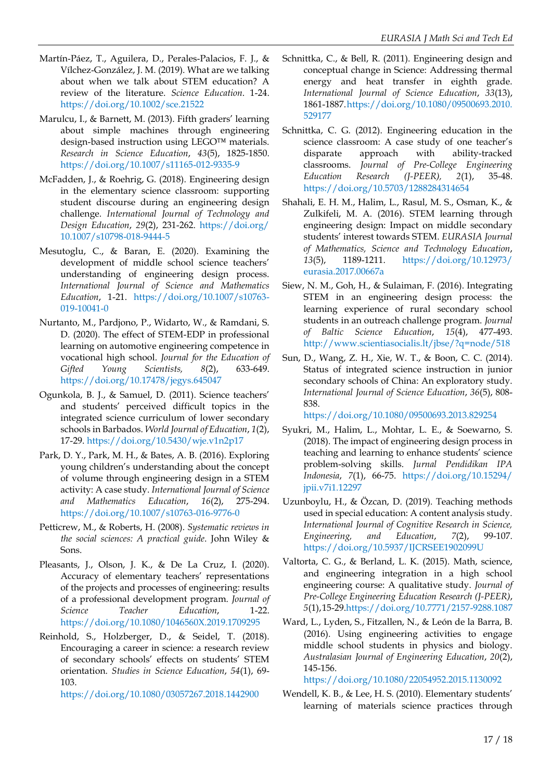- Martín‐Páez, T., Aguilera, D., Perales‐Palacios, F. J., & Vílchez‐González, J. M. (2019). What are we talking about when we talk about STEM education? A review of the literature. *Science Education*. 1-24. <https://doi.org/10.1002/sce.21522>
- Marulcu, I., & Barnett, M. (2013). Fifth graders' learning about simple machines through engineering design-based instruction using LEGO™ materials. *Research in Science Education*, *43*(5), 1825-1850. <https://doi.org/10.1007/s11165-012-9335-9>
- McFadden, J., & Roehrig, G. (2018). Engineering design in the elementary science classroom: supporting student discourse during an engineering design challenge. *International Journal of Technology and Design Education*, *29*(2), 231-262. [https://doi.org/](https://doi.org/10.1007/s10798-018-9444-5) [10.1007/s10798-018-9444-5](https://doi.org/10.1007/s10798-018-9444-5)
- Mesutoglu, C., & Baran, E. (2020). Examining the development of middle school science teachers' understanding of engineering design process. *International Journal of Science and Mathematics Education*, 1-21. [https://doi.org/10.1007/s10763-](https://doi.org/10.1007/s10763-019-10041-0) [019-10041-0](https://doi.org/10.1007/s10763-019-10041-0)
- Nurtanto, M., Pardjono, P., Widarto, W., & Ramdani, S. D. (2020). The effect of STEM-EDP in professional learning on automotive engineering competence in vocational high school. *Journal for the Education of Gifted Young Scientists, 8*(2), 633-649. <https://doi.org/10.17478/jegys.645047>
- Ogunkola, B. J., & Samuel, D. (2011). Science teachers' and students' perceived difficult topics in the integrated science curriculum of lower secondary schools in Barbados. *World Journal of Education*, *1*(2), 17-29. <https://doi.org/10.5430/wje.v1n2p17>
- Park, D. Y., Park, M. H., & Bates, A. B. (2016). Exploring young children's understanding about the concept of volume through engineering design in a STEM activity: A case study. *International Journal of Science and Mathematics Education*, *16*(2), 275-294. <https://doi.org/10.1007/s10763-016-9776-0>
- Petticrew, M., & Roberts, H. (2008). *Systematic reviews in the social sciences: A practical guide*. John Wiley & Sons.
- Pleasants, J., Olson, J. K., & De La Cruz, I. (2020). Accuracy of elementary teachers' representations of the projects and processes of engineering: results of a professional development program. *Journal of Science Teacher Education*, 1-22. <https://doi.org/10.1080/1046560X.2019.1709295>
- Reinhold, S., Holzberger, D., & Seidel, T. (2018). Encouraging a career in science: a research review of secondary schools' effects on students' STEM orientation. *Studies in Science Education*, *54*(1), 69- 103.

<https://doi.org/10.1080/03057267.2018.1442900>

- Schnittka, C., & Bell, R. (2011). Engineering design and conceptual change in Science: Addressing thermal energy and heat transfer in eighth grade. *International Journal of Science Education*, *33*(13), 1861-1887[.https://doi.org/10.1080/09500693.2010.](https://doi.org/10.1080/09500693.2010.529177) [529177](https://doi.org/10.1080/09500693.2010.529177)
- Schnittka, C. G. (2012). Engineering education in the science classroom: A case study of one teacher's disparate approach with ability-tracked classrooms. *Journal of Pre-College Engineering Education Research (J-PEER), 2*(1), 35-48. <https://doi.org/10.5703/1288284314654>
- Shahali, E. H. M., Halim, L., Rasul, M. S., Osman, K., & Zulkifeli, M. A. (2016). STEM learning through engineering design: Impact on middle secondary students' interest towards STEM. *EURASIA Journal of Mathematics, Science and Technology Education*, *13*(5), 1189-1211. [https://doi.org/10.12973/](https://doi.org/10.12973/eurasia.2017.00667a) [eurasia.2017.00667a](https://doi.org/10.12973/eurasia.2017.00667a)
- Siew, N. M., Goh, H., & Sulaiman, F. (2016). Integrating STEM in an engineering design process: the learning experience of rural secondary school students in an outreach challenge program. *Journal of Baltic Science Education*, *15*(4), 477-493. <http://www.scientiasocialis.lt/jbse/?q=node/518>
- Sun, D., Wang, Z. H., Xie, W. T., & Boon, C. C. (2014). Status of integrated science instruction in junior secondary schools of China: An exploratory study. *International Journal of Science Education*, *36*(5), 808- 838.

<https://doi.org/10.1080/09500693.2013.829254>

- Syukri, M., Halim, L., Mohtar, L. E., & Soewarno, S. (2018). The impact of engineering design process in teaching and learning to enhance students' science problem-solving skills. *Jurnal Pendidikan IPA Indonesia*, *7*(1), 66-75. [https://doi.org/10.15294/](https://doi.org/10.15294/jpii.v7i1.12297) [jpii.v7i1.12297](https://doi.org/10.15294/jpii.v7i1.12297)
- Uzunboylu, H., & Özcan, D. (2019). Teaching methods used in special education: A content analysis study. *International Journal of Cognitive Research in Science, Engineering, and Education*, *7*(2), 99-107. <https://doi.org/10.5937/IJCRSEE1902099U>
- Valtorta, C. G., & Berland, L. K. (2015). Math, science, and engineering integration in a high school engineering course: A qualitative study. *Journal of Pre-College Engineering Education Research (J-PEER)*, *5*(1),15-29[.https://doi.org/10.7771/2157-9288.1087](https://doi.org/10.7771/2157-9288.1087)
- Ward, L., Lyden, S., Fitzallen, N., & León de la Barra, B. (2016). Using engineering activities to engage middle school students in physics and biology. *Australasian Journal of Engineering Education*, *20*(2), 145-156.

<https://doi.org/10.1080/22054952.2015.1130092>

Wendell, K. B., & Lee, H. S. (2010). Elementary students' learning of materials science practices through